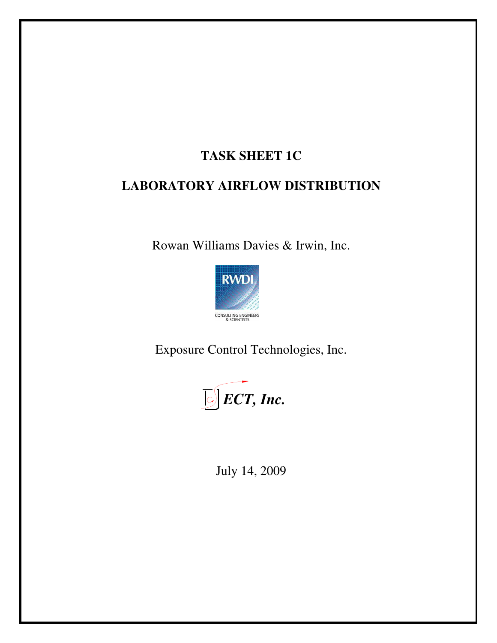# **TASK SHEET 1C**

# **LABORATORY AIRFLOW DISTRIBUTION**

Rowan Williams Davies & Irwin, Inc.



Exposure Control Technologies, Inc.



July 14, 2009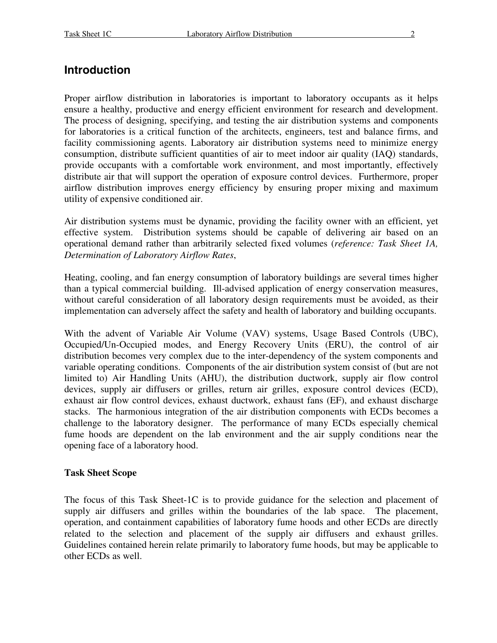#### **Introduction**

Proper airflow distribution in laboratories is important to laboratory occupants as it helps ensure a healthy, productive and energy efficient environment for research and development. The process of designing, specifying, and testing the air distribution systems and components for laboratories is a critical function of the architects, engineers, test and balance firms, and facility commissioning agents. Laboratory air distribution systems need to minimize energy consumption, distribute sufficient quantities of air to meet indoor air quality (IAQ) standards, provide occupants with a comfortable work environment, and most importantly, effectively distribute air that will support the operation of exposure control devices. Furthermore, proper airflow distribution improves energy efficiency by ensuring proper mixing and maximum utility of expensive conditioned air.

Air distribution systems must be dynamic, providing the facility owner with an efficient, yet effective system. Distribution systems should be capable of delivering air based on an operational demand rather than arbitrarily selected fixed volumes (*reference: Task Sheet 1A, Determination of Laboratory Airflow Rates*,

Heating, cooling, and fan energy consumption of laboratory buildings are several times higher than a typical commercial building. Ill-advised application of energy conservation measures, without careful consideration of all laboratory design requirements must be avoided, as their implementation can adversely affect the safety and health of laboratory and building occupants.

With the advent of Variable Air Volume (VAV) systems, Usage Based Controls (UBC), Occupied/Un-Occupied modes, and Energy Recovery Units (ERU), the control of air distribution becomes very complex due to the inter-dependency of the system components and variable operating conditions. Components of the air distribution system consist of (but are not limited to) Air Handling Units (AHU), the distribution ductwork, supply air flow control devices, supply air diffusers or grilles, return air grilles, exposure control devices (ECD), exhaust air flow control devices, exhaust ductwork, exhaust fans (EF), and exhaust discharge stacks. The harmonious integration of the air distribution components with ECDs becomes a challenge to the laboratory designer. The performance of many ECDs especially chemical fume hoods are dependent on the lab environment and the air supply conditions near the opening face of a laboratory hood.

#### **Task Sheet Scope**

The focus of this Task Sheet-1C is to provide guidance for the selection and placement of supply air diffusers and grilles within the boundaries of the lab space. The placement, operation, and containment capabilities of laboratory fume hoods and other ECDs are directly related to the selection and placement of the supply air diffusers and exhaust grilles. Guidelines contained herein relate primarily to laboratory fume hoods, but may be applicable to other ECDs as well.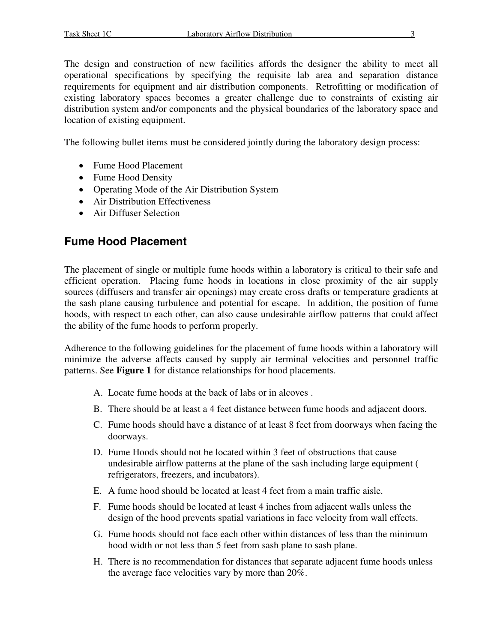The design and construction of new facilities affords the designer the ability to meet all operational specifications by specifying the requisite lab area and separation distance requirements for equipment and air distribution components. Retrofitting or modification of existing laboratory spaces becomes a greater challenge due to constraints of existing air distribution system and/or components and the physical boundaries of the laboratory space and location of existing equipment.

The following bullet items must be considered jointly during the laboratory design process:

- Fume Hood Placement
- Fume Hood Density
- Operating Mode of the Air Distribution System
- Air Distribution Effectiveness
- Air Diffuser Selection

## **Fume Hood Placement**

The placement of single or multiple fume hoods within a laboratory is critical to their safe and efficient operation. Placing fume hoods in locations in close proximity of the air supply sources (diffusers and transfer air openings) may create cross drafts or temperature gradients at the sash plane causing turbulence and potential for escape. In addition, the position of fume hoods, with respect to each other, can also cause undesirable airflow patterns that could affect the ability of the fume hoods to perform properly.

Adherence to the following guidelines for the placement of fume hoods within a laboratory will minimize the adverse affects caused by supply air terminal velocities and personnel traffic patterns. See **Figure 1** for distance relationships for hood placements.

- A. Locate fume hoods at the back of labs or in alcoves .
- B. There should be at least a 4 feet distance between fume hoods and adjacent doors.
- C. Fume hoods should have a distance of at least 8 feet from doorways when facing the doorways.
- D. Fume Hoods should not be located within 3 feet of obstructions that cause undesirable airflow patterns at the plane of the sash including large equipment ( refrigerators, freezers, and incubators).
- E. A fume hood should be located at least 4 feet from a main traffic aisle.
- F. Fume hoods should be located at least 4 inches from adjacent walls unless the design of the hood prevents spatial variations in face velocity from wall effects.
- G. Fume hoods should not face each other within distances of less than the minimum hood width or not less than 5 feet from sash plane to sash plane.
- H. There is no recommendation for distances that separate adjacent fume hoods unless the average face velocities vary by more than 20%.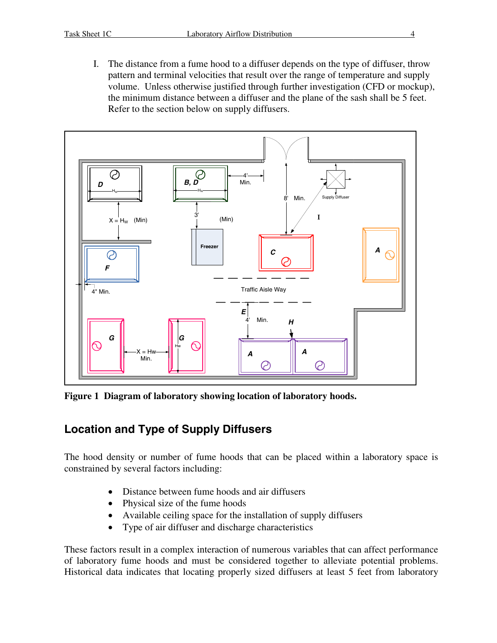I. The distance from a fume hood to a diffuser depends on the type of diffuser, throw pattern and terminal velocities that result over the range of temperature and supply volume. Unless otherwise justified through further investigation (CFD or mockup), the minimum distance between a diffuser and the plane of the sash shall be 5 feet. Refer to the section below on supply diffusers.



**Figure 1 Diagram of laboratory showing location of laboratory hoods.**

### **Location and Type of Supply Diffusers**

The hood density or number of fume hoods that can be placed within a laboratory space is constrained by several factors including:

- Distance between fume hoods and air diffusers
- Physical size of the fume hoods
- Available ceiling space for the installation of supply diffusers
- · Type of air diffuser and discharge characteristics

These factors result in a complex interaction of numerous variables that can affect performance of laboratory fume hoods and must be considered together to alleviate potential problems. Historical data indicates that locating properly sized diffusers at least 5 feet from laboratory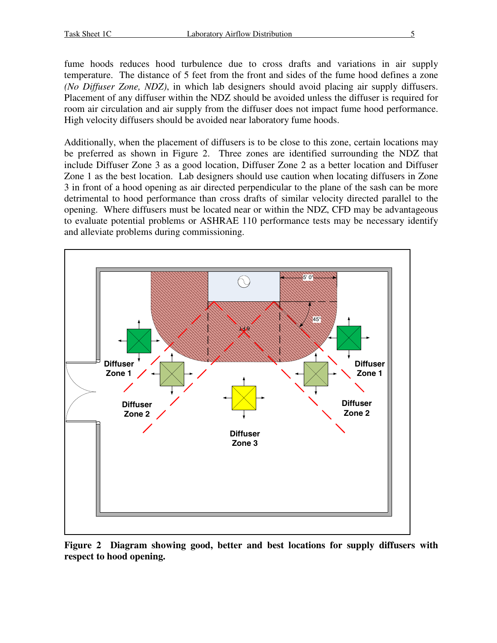fume hoods reduces hood turbulence due to cross drafts and variations in air supply temperature. The distance of 5 feet from the front and sides of the fume hood defines a zone *(No Diffuser Zone, NDZ)*, in which lab designers should avoid placing air supply diffusers. Placement of any diffuser within the NDZ should be avoided unless the diffuser is required for room air circulation and air supply from the diffuser does not impact fume hood performance. High velocity diffusers should be avoided near laboratory fume hoods.

Additionally, when the placement of diffusers is to be close to this zone, certain locations may be preferred as shown in Figure 2. Three zones are identified surrounding the NDZ that include Diffuser Zone 3 as a good location, Diffuser Zone 2 as a better location and Diffuser Zone 1 as the best location. Lab designers should use caution when locating diffusers in Zone 3 in front of a hood opening as air directed perpendicular to the plane of the sash can be more detrimental to hood performance than cross drafts of similar velocity directed parallel to the opening. Where diffusers must be located near or within the NDZ, CFD may be advantageous to evaluate potential problems or ASHRAE 110 performance tests may be necessary identify and alleviate problems during commissioning.



**Figure 2 Diagram showing good, better and best locations for supply diffusers with respect to hood opening.**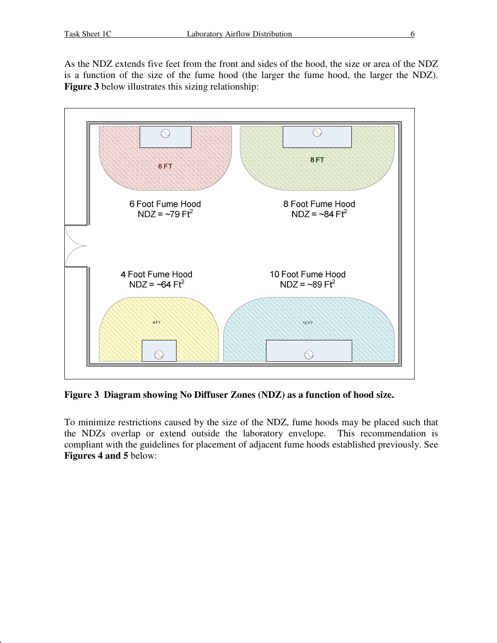As the NDZ extends five feet from the front and sides of the hood, the size or area of the NDZ is a function of the size of the fume hood (the larger the fume hood, the larger the NDZ). **Figure 3** below illustrates this sizing relationship:



**Figure 3 Diagram showing No Diffuser Zones (NDZ) as a function of hood size.**

To minimize restrictions caused by the size of the NDZ, fume hoods may be placed such that the NDZs overlap or extend outside the laboratory envelope. This recommendation is compliant with the guidelines for placement of adjacent fume hoods established previously. See **Figures 4 and 5** below: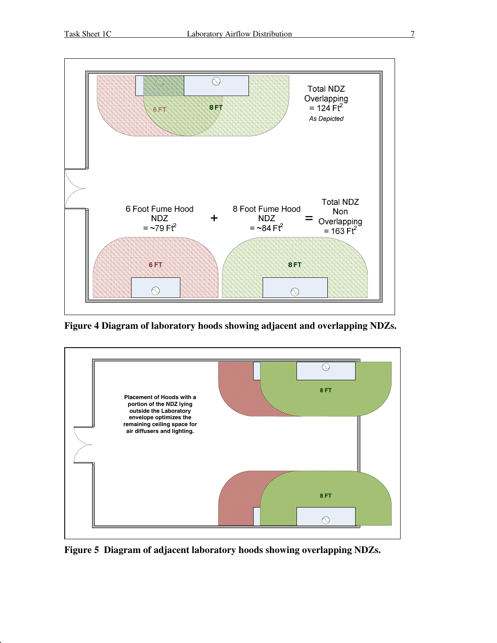

**Figure 4 Diagram of laboratory hoods showing adjacent and overlapping NDZs.**



**Figure 5 Diagram of adjacent laboratory hoods showing overlapping NDZs.**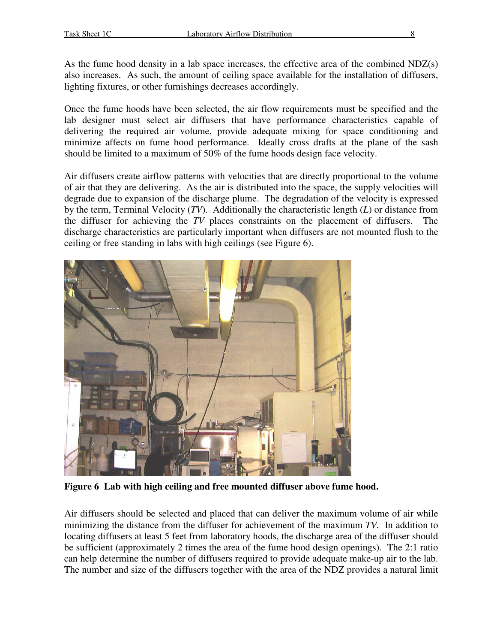As the fume hood density in a lab space increases, the effective area of the combined NDZ(s) also increases. As such, the amount of ceiling space available for the installation of diffusers, lighting fixtures, or other furnishings decreases accordingly.

Once the fume hoods have been selected, the air flow requirements must be specified and the lab designer must select air diffusers that have performance characteristics capable of delivering the required air volume, provide adequate mixing for space conditioning and minimize affects on fume hood performance. Ideally cross drafts at the plane of the sash should be limited to a maximum of 50% of the fume hoods design face velocity.

Air diffusers create airflow patterns with velocities that are directly proportional to the volume of air that they are delivering. As the air is distributed into the space, the supply velocities will degrade due to expansion of the discharge plume. The degradation of the velocity is expressed by the term, Terminal Velocity (*TV*). Additionally the characteristic length (*L*) or distance from the diffuser for achieving the *TV* places constraints on the placement of diffusers. The discharge characteristics are particularly important when diffusers are not mounted flush to the ceiling or free standing in labs with high ceilings (see Figure 6).



**Figure 6 Lab with high ceiling and free mounted diffuser above fume hood.**

Air diffusers should be selected and placed that can deliver the maximum volume of air while minimizing the distance from the diffuser for achievement of the maximum *TV.* In addition to locating diffusers at least 5 feet from laboratory hoods, the discharge area of the diffuser should be sufficient (approximately 2 times the area of the fume hood design openings). The 2:1 ratio can help determine the number of diffusers required to provide adequate make-up air to the lab. The number and size of the diffusers together with the area of the NDZ provides a natural limit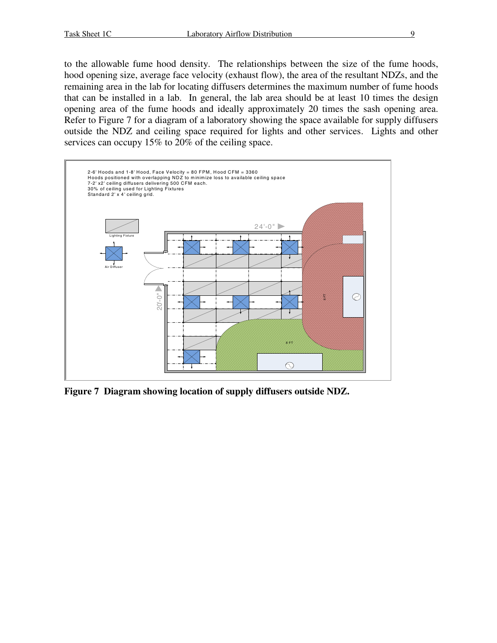to the allowable fume hood density. The relationships between the size of the fume hoods, hood opening size, average face velocity (exhaust flow), the area of the resultant NDZs, and the remaining area in the lab for locating diffusers determines the maximum number of fume hoods that can be installed in a lab. In general, the lab area should be at least 10 times the design opening area of the fume hoods and ideally approximately 20 times the sash opening area. Refer to Figure 7 for a diagram of a laboratory showing the space available for supply diffusers outside the NDZ and ceiling space required for lights and other services. Lights and other services can occupy 15% to 20% of the ceiling space.



**Figure 7 Diagram showing location of supply diffusers outside NDZ.**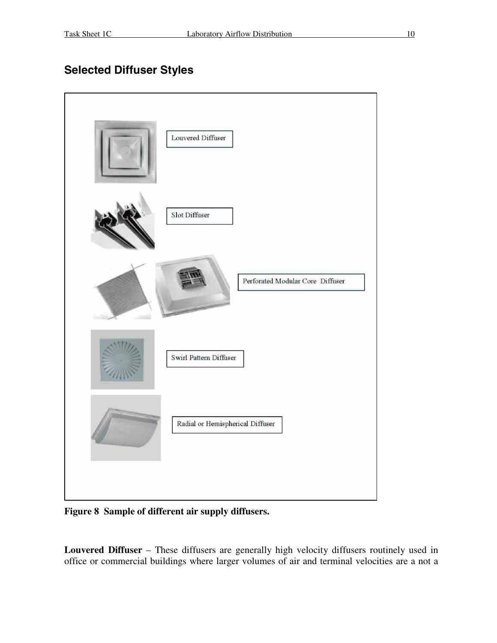### **Selected Diffuser Styles**



**Figure 8 Sample of different air supply diffusers.**

**Louvered Diffuser** – These diffusers are generally high velocity diffusers routinely used in office or commercial buildings where larger volumes of air and terminal velocities are a not a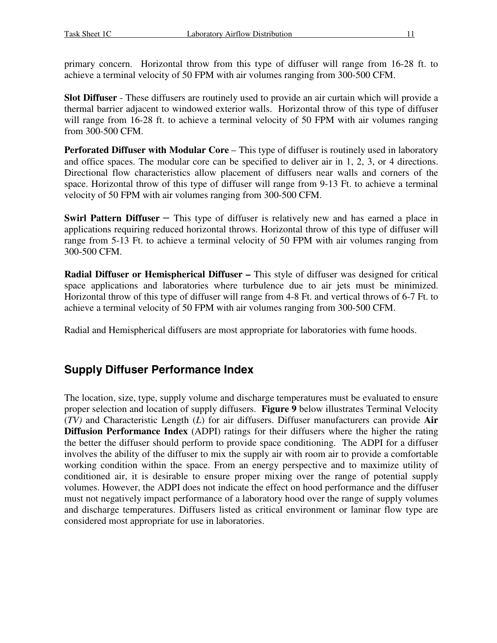primary concern. Horizontal throw from this type of diffuser will range from 16-28 ft. to achieve a terminal velocity of 50 FPM with air volumes ranging from 300-500 CFM.

**Slot Diffuser** - These diffusers are routinely used to provide an air curtain which will provide a thermal barrier adjacent to windowed exterior walls. Horizontal throw of this type of diffuser will range from 16-28 ft. to achieve a terminal velocity of 50 FPM with air volumes ranging from 300-500 CFM.

**Perforated Diffuser with Modular Core** – This type of diffuser is routinely used in laboratory and office spaces. The modular core can be specified to deliver air in 1, 2, 3, or 4 directions. Directional flow characteristics allow placement of diffusers near walls and corners of the space. Horizontal throw of this type of diffuser will range from 9-13 Ft. to achieve a terminal velocity of 50 FPM with air volumes ranging from 300-500 CFM.

**Swirl Pattern Diffuser –** This type of diffuser is relatively new and has earned a place in applications requiring reduced horizontal throws. Horizontal throw of this type of diffuser will range from 5-13 Ft. to achieve a terminal velocity of 50 FPM with air volumes ranging from 300-500 CFM.

**Radial Diffuser or Hemispherical Diffuser –** This style of diffuser was designed for critical space applications and laboratories where turbulence due to air jets must be minimized. Horizontal throw of this type of diffuser will range from 4-8 Ft. and vertical throws of 6-7 Ft. to achieve a terminal velocity of 50 FPM with air volumes ranging from 300-500 CFM.

Radial and Hemispherical diffusers are most appropriate for laboratories with fume hoods.

## **Supply Diffuser Performance Index**

The location, size, type, supply volume and discharge temperatures must be evaluated to ensure proper selection and location of supply diffusers. **Figure 9** below illustrates Terminal Velocity (*TV)* and Characteristic Length (*L*) for air diffusers. Diffuser manufacturers can provide **Air Diffusion Performance Index** (ADPI) ratings for their diffusers where the higher the rating the better the diffuser should perform to provide space conditioning. The ADPI for a diffuser involves the ability of the diffuser to mix the supply air with room air to provide a comfortable working condition within the space. From an energy perspective and to maximize utility of conditioned air, it is desirable to ensure proper mixing over the range of potential supply volumes. However, the ADPI does not indicate the effect on hood performance and the diffuser must not negatively impact performance of a laboratory hood over the range of supply volumes and discharge temperatures. Diffusers listed as critical environment or laminar flow type are considered most appropriate for use in laboratories.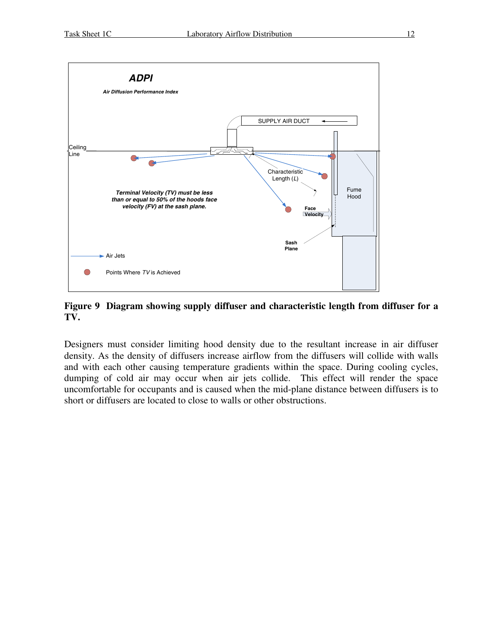

**Figure 9 Diagram showing supply diffuser and characteristic length from diffuser for a TV.**

Designers must consider limiting hood density due to the resultant increase in air diffuser density. As the density of diffusers increase airflow from the diffusers will collide with walls and with each other causing temperature gradients within the space. During cooling cycles, dumping of cold air may occur when air jets collide. This effect will render the space uncomfortable for occupants and is caused when the mid-plane distance between diffusers is to short or diffusers are located to close to walls or other obstructions.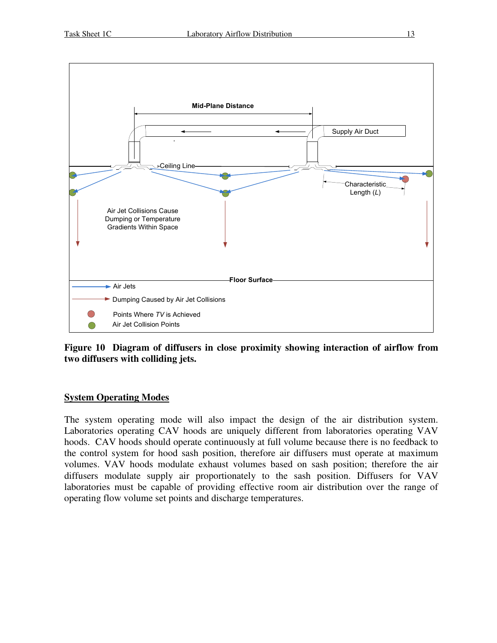

**Figure 10 Diagram of diffusers in close proximity showing interaction of airflow from two diffusers with colliding jets.**

#### **System Operating Modes**

The system operating mode will also impact the design of the air distribution system. Laboratories operating CAV hoods are uniquely different from laboratories operating VAV hoods. CAV hoods should operate continuously at full volume because there is no feedback to the control system for hood sash position, therefore air diffusers must operate at maximum volumes. VAV hoods modulate exhaust volumes based on sash position; therefore the air diffusers modulate supply air proportionately to the sash position. Diffusers for VAV laboratories must be capable of providing effective room air distribution over the range of operating flow volume set points and discharge temperatures.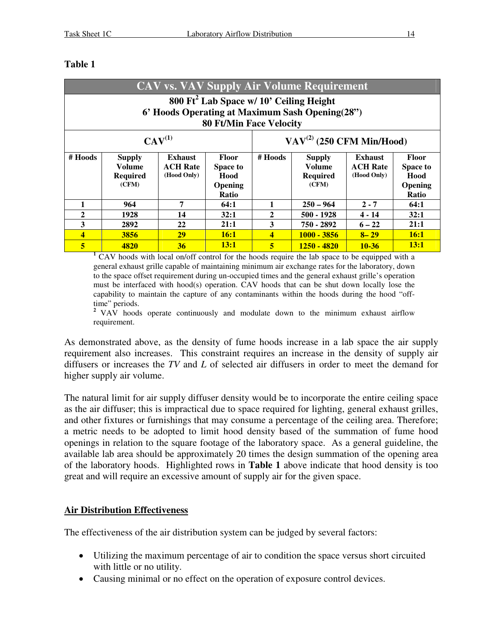| <b>CAV vs. VAV Supply Air Volume Requirement</b>                                                                                         |                                                     |                                                  |                                                                           |                                         |                                                            |                                                  |                                                             |
|------------------------------------------------------------------------------------------------------------------------------------------|-----------------------------------------------------|--------------------------------------------------|---------------------------------------------------------------------------|-----------------------------------------|------------------------------------------------------------|--------------------------------------------------|-------------------------------------------------------------|
| 800 Ft <sup>2</sup> Lab Space w/ 10' Ceiling Height<br>6' Hoods Operating at Maximum Sash Opening(28")<br><b>80 Ft/Min Face Velocity</b> |                                                     |                                                  |                                                                           |                                         |                                                            |                                                  |                                                             |
| $CAV^{(1)}$                                                                                                                              |                                                     |                                                  |                                                                           | $\mathrm{VAV}^{(2)}$ (250 CFM Min/Hood) |                                                            |                                                  |                                                             |
| # Hoods                                                                                                                                  | <b>Supply</b><br>Volume<br><b>Required</b><br>(CFM) | <b>Exhaust</b><br><b>ACH Rate</b><br>(Hood Only) | <b>Floor</b><br><b>Space to</b><br>Hood<br><b>Opening</b><br><b>Ratio</b> | # Hoods                                 | <b>Supply</b><br><b>Volume</b><br><b>Required</b><br>(CFM) | <b>Exhaust</b><br><b>ACH Rate</b><br>(Hood Only) | <b>Floor</b><br><b>Space to</b><br>Hood<br>Opening<br>Ratio |
|                                                                                                                                          | 964                                                 | 7                                                | 64:1                                                                      | 1                                       | $250 - 964$                                                | $2 - 7$                                          | 64:1                                                        |
| 2                                                                                                                                        | 1928                                                | 14                                               | 32:1                                                                      | $\mathbf{2}$                            | 500 - 1928                                                 | 4 - 14                                           | 32:1                                                        |
| 3                                                                                                                                        | 2892                                                | 22                                               | 21:1                                                                      | 3                                       | 750 - 2892                                                 | $6 - 22$                                         | 21:1                                                        |
| 4                                                                                                                                        | 3856                                                | 29                                               | 16:1                                                                      | 4                                       | $1000 - 3856$                                              | $8 - 29$                                         | 16:1                                                        |
| 5                                                                                                                                        | 4820                                                | 36                                               | 13:1                                                                      | 5                                       | <u> 1250 - 4820 </u>                                       | $10 - 36$                                        | 13:1                                                        |

#### **Table 1**

**<sup>1</sup>** CAV hoods with local on/off control for the hoods require the lab space to be equipped with a general exhaust grille capable of maintaining minimum air exchange rates for the laboratory, down to the space offset requirement during un-occupied times and the general exhaust grille's operation must be interfaced with hood(s) operation. CAV hoods that can be shut down locally lose the capability to maintain the capture of any contaminants within the hoods during the hood "off-

time" periods. **<sup>2</sup>** VAV hoods operate continuously and modulate down to the minimum exhaust airflow requirement.

As demonstrated above, as the density of fume hoods increase in a lab space the air supply requirement also increases. This constraint requires an increase in the density of supply air diffusers or increases the *TV* and *L* of selected air diffusers in order to meet the demand for higher supply air volume.

The natural limit for air supply diffuser density would be to incorporate the entire ceiling space as the air diffuser; this is impractical due to space required for lighting, general exhaust grilles, and other fixtures or furnishings that may consume a percentage of the ceiling area. Therefore; a metric needs to be adopted to limit hood density based of the summation of fume hood openings in relation to the square footage of the laboratory space. As a general guideline, the available lab area should be approximately 20 times the design summation of the opening area of the laboratory hoods. Highlighted rows in **Table 1** above indicate that hood density is too great and will require an excessive amount of supply air for the given space.

#### **Air Distribution Effectiveness**

The effectiveness of the air distribution system can be judged by several factors:

- · Utilizing the maximum percentage of air to condition the space versus short circuited with little or no utility.
- Causing minimal or no effect on the operation of exposure control devices.